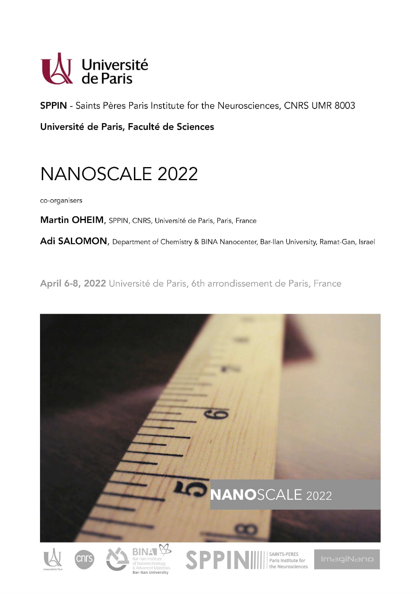

**SPPIN** - Saints Pères Paris Institute for the Neurosciences, CNRS UMR 8003

Université de Paris, Faculté de Sciences

# **NANOSCALE 2022**

co-organisers

Martin OHEIM, SPPIN, CNRS, Université de Paris, Paris, France

Adi SALOMON, Department of Chemistry & BINA Nanocenter, Bar-Ilan University, Ramat-Gan, Israel

April 6-8, 2022 Université de Paris, 6th arrondissement de Paris, France

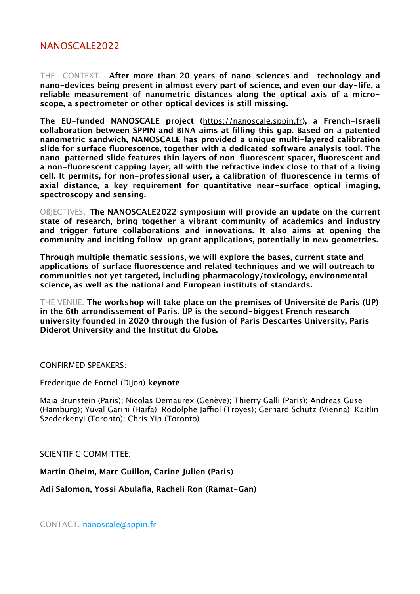### NANOSCALE2022

THE CONTEXT. **After more than 20 years of nano-sciences and -technology and nano-devices being present in almost every part of science, and even our day-life, a reliable measurement of nanometric distances along the optical axis of a microscope, a spectrometer or other optical devices is still missing.** 

**The EU-funded NANOSCALE project (**https://nanoscale.sppin.fr**), a French-Israeli collaboration between SPPIN and BINA aims at filling this gap. Based on a patented nanometric sandwich, NANOSCALE has provided a unique multi-layered calibration slide for surface fluorescence, together with a dedicated software analysis tool. The nano-patterned slide features thin layers of non-fluorescent spacer, fluorescent and a non-fluorescent capping layer, all with the refractive index close to that of a living cell. It permits, for non-professional user, a calibration of fluorescence in terms of axial distance, a key requirement for quantitative near-surface optical imaging, spectroscopy and sensing.** 

OBJECTIVES. **The NANOSCALE2022 symposium will provide an update on the current state of research, bring together a vibrant community of academics and industry and trigger future collaborations and innovations. It also aims at opening the community and inciting follow-up grant applications, potentially in new geometries.**

**Through multiple thematic sessions, we will explore the bases, current state and applications of surface fluorescence and related techniques and we will outreach to communities not yet targeted, including pharmacology/toxicology, environmental science, as well as the national and European instituts of standards.**

THE VENUE. **The workshop will take place on the premises of Université de Paris (UP) in the 6th arrondissement of Paris. UP is the second-biggest French research university founded in 2020 through the fusion of Paris Descartes University, Paris Diderot University and the Institut du Globe.**

CONFIRMED SPEAKERS:

Frederique de Fornel (Dijon) **keynote**

Maia Brunstein (Paris); Nicolas Demaurex (Genève); Thierry Galli (Paris); Andreas Guse (Hamburg); Yuval Garini (Haifa); Rodolphe Jaffiol (Troyes); Gerhard Schütz (Vienna); Kaitlin Szederkenyi (Toronto); Chris Yip (Toronto)

SCIENTIFIC COMMITTEE:

**Martin Oheim, Marc Guillon, Carine Julien (Paris)**

**Adi Salomon, Yossi Abulafia, Racheli Ron (Ramat-Gan)**

CONTACT. nanoscale@sppin.fr